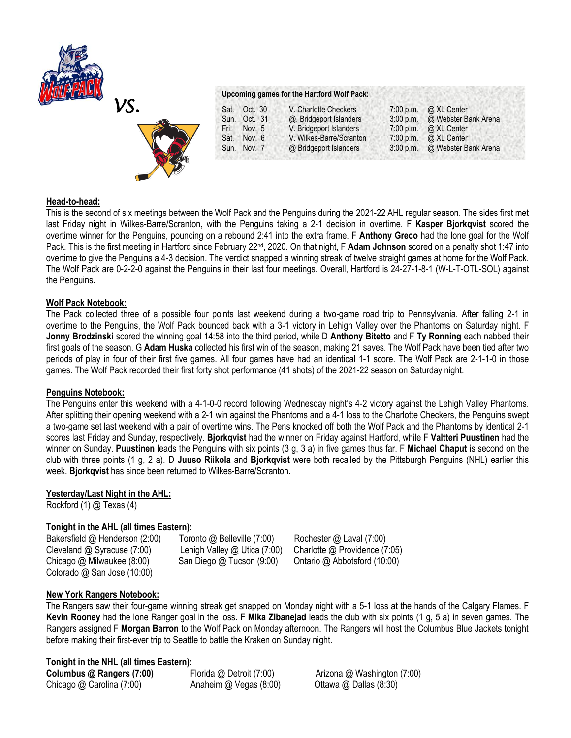



#### **Upcoming games for the Hartford Wolf Pack:**

| V. Charlotte Checkers    | $7:00$ p.m. | @ XL Center          |
|--------------------------|-------------|----------------------|
| @. Bridgeport Islanders  | $3:00$ p.m. | @ Webster Bank Arena |
| V. Bridgeport Islanders  | 7:00 p.m.   | @ XL Center          |
| V. Wilkes-Barre/Scranton | 7:00 p.m.   | @ XL Center          |
| @ Bridgeport Islanders   | $3:00$ p.m. | @ Webster Bank Arena |
|                          |             |                      |

## **Head-to-head:**

This is the second of six meetings between the Wolf Pack and the Penguins during the 2021-22 AHL regular season. The sides first met last Friday night in Wilkes-Barre/Scranton, with the Penguins taking a 2-1 decision in overtime. F **Kasper Bjorkqvist** scored the overtime winner for the Penguins, pouncing on a rebound 2:41 into the extra frame. F **Anthony Greco** had the lone goal for the Wolf Pack. This is the first meeting in Hartford since February 22<sup>nd</sup>, 2020. On that night, F **Adam Johnson** scored on a penalty shot 1:47 into overtime to give the Penguins a 4-3 decision. The verdict snapped a winning streak of twelve straight games at home for the Wolf Pack. The Wolf Pack are 0-2-2-0 against the Penguins in their last four meetings. Overall, Hartford is 24-27-1-8-1 (W-L-T-OTL-SOL) against the Penguins.

#### **Wolf Pack Notebook:**

The Pack collected three of a possible four points last weekend during a two-game road trip to Pennsylvania. After falling 2-1 in overtime to the Penguins, the Wolf Pack bounced back with a 3-1 victory in Lehigh Valley over the Phantoms on Saturday night. F **Jonny Brodzinski** scored the winning goal 14:58 into the third period, while D **Anthony Bitetto** and F **Ty Ronning** each nabbed their first goals of the season. G **Adam Huska** collected his first win of the season, making 21 saves. The Wolf Pack have been tied after two periods of play in four of their first five games. All four games have had an identical 1-1 score. The Wolf Pack are 2-1-1-0 in those games. The Wolf Pack recorded their first forty shot performance (41 shots) of the 2021-22 season on Saturday night.

## **Penguins Notebook:**

The Penguins enter this weekend with a 4-1-0-0 record following Wednesday night's 4-2 victory against the Lehigh Valley Phantoms. After splitting their opening weekend with a 2-1 win against the Phantoms and a 4-1 loss to the Charlotte Checkers, the Penguins swept a two-game set last weekend with a pair of overtime wins. The Pens knocked off both the Wolf Pack and the Phantoms by identical 2-1 scores last Friday and Sunday, respectively. **Bjorkqvist** had the winner on Friday against Hartford, while F **Valtteri Puustinen** had the winner on Sunday. **Puustinen** leads the Penguins with six points (3 g, 3 a) in five games thus far. F **Michael Chaput** is second on the club with three points (1 g, 2 a). D **Juuso Riikola** and **Bjorkqvist** were both recalled by the Pittsburgh Penguins (NHL) earlier this week. **Bjorkqvist** has since been returned to Wilkes-Barre/Scranton.

# **Yesterday/Last Night in the AHL:**

Rockford (1) @ Texas (4)

## **Tonight in the AHL (all times Eastern):**

Cleveland @ Syracuse (7:00)Lehigh Valley @ Utica (7:00) Charlotte @ Providence (7:05) Chicago @ Milwaukee (8:00) San Diego @ Tucson (9:00) Ontario @ Abbotsford (10:00) Colorado @ San Jose (10:00)

Bakersfield @ Henderson (2:00)Toronto @ Belleville (7:00) Rochester @ Laval (7:00)

## **New York Rangers Notebook:**

The Rangers saw their four-game winning streak get snapped on Monday night with a 5-1 loss at the hands of the Calgary Flames. F **Kevin Rooney** had the lone Ranger goal in the loss. F **Mika Zibanejad** leads the club with six points (1 g, 5 a) in seven games. The Rangers assigned F **Morgan Barron** to the Wolf Pack on Monday afternoon. The Rangers will host the Columbus Blue Jackets tonight before making their first-ever trip to Seattle to battle the Kraken on Sunday night.

## **Tonight in the NHL (all times Eastern):**

Chicago @ Carolina (7:00) Anaheim @ Vegas (8:00) Ottawa @ Dallas (8:30)

**Columbus @ Rangers (7:00)** Florida @ Detroit (7:00) Arizona @ Washington (7:00)